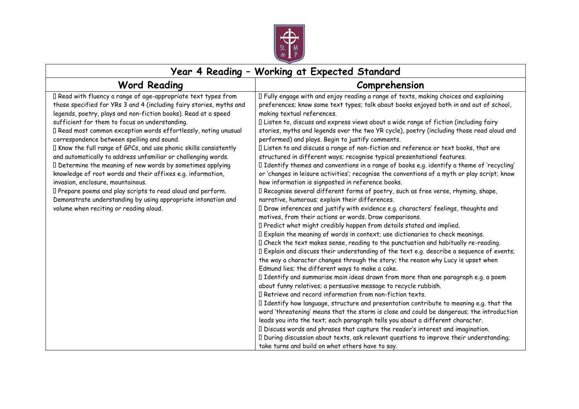

## **Year 4 Reading – Working at Expected Standard**

| <b>Word Reading</b>                                                                                                                                                                                                                                                                                                                                                                                                                                                                                                                                                                                                                                                                                                                                                                                                                                          | Comprehension                                                                                                                                                                                                                                                                                                                                                                                                                                                                                                                                                                                                                                                                                                                                                                                                                                                                                                                                                                                                                                                                                                                                                                                                                                                                                                                                                                                                                                                                                                                                                                                                                                                                                                                                                                                                                                                                                                                                                                                                                                                                                                                                                                                                                                                                                                                                                                                       |
|--------------------------------------------------------------------------------------------------------------------------------------------------------------------------------------------------------------------------------------------------------------------------------------------------------------------------------------------------------------------------------------------------------------------------------------------------------------------------------------------------------------------------------------------------------------------------------------------------------------------------------------------------------------------------------------------------------------------------------------------------------------------------------------------------------------------------------------------------------------|-----------------------------------------------------------------------------------------------------------------------------------------------------------------------------------------------------------------------------------------------------------------------------------------------------------------------------------------------------------------------------------------------------------------------------------------------------------------------------------------------------------------------------------------------------------------------------------------------------------------------------------------------------------------------------------------------------------------------------------------------------------------------------------------------------------------------------------------------------------------------------------------------------------------------------------------------------------------------------------------------------------------------------------------------------------------------------------------------------------------------------------------------------------------------------------------------------------------------------------------------------------------------------------------------------------------------------------------------------------------------------------------------------------------------------------------------------------------------------------------------------------------------------------------------------------------------------------------------------------------------------------------------------------------------------------------------------------------------------------------------------------------------------------------------------------------------------------------------------------------------------------------------------------------------------------------------------------------------------------------------------------------------------------------------------------------------------------------------------------------------------------------------------------------------------------------------------------------------------------------------------------------------------------------------------------------------------------------------------------------------------------------------------|
| I Read with fluency a range of age-appropriate text types from<br>those specified for YRs 3 and 4 (including fairy stories, myths and<br>legends, poetry, plays and non-fiction books). Read at a speed<br>sufficient for them to focus on understanding.<br>I Read most common exception words effortlessly, noting unusual<br>correspondence between spelling and sound.<br>I Know the full range of GPCs, and use phonic skills consistently<br>and automatically to address unfamiliar or challenging words.<br>I Determine the meaning of new words by sometimes applying<br>knowledge of root words and their affixes e.g. information,<br>invasion, enclosure, mountainous.<br>I Prepare poems and play scripts to read aloud and perform.<br>Demonstrate understanding by using appropriate intonation and<br>volume when reciting or reading aloud. | I Fully engage with and enjoy reading a range of texts, making choices and explaining<br>preferences; know some text types; talk about books enjoyed both in and out of school,<br>making textual references.<br>I Listen to, discuss and express views about a wide range of fiction (including fairy<br>stories, myths and legends over the two YR cycle), poetry (including those read aloud and<br>performed) and plays. Begin to justify comments.<br>I Listen to and discuss a range of non-fiction and reference or text books, that are<br>structured in different ways; recognise typical presentational features.<br>I Identify themes and conventions in a range of books e.g. identify a theme of 'recycling'<br>or 'changes in leisure activities'; recognise the conventions of a myth or play script; know<br>how information is signposted in reference books.<br>I Recognise several different forms of poetry, such as free verse, rhyming, shape,<br>narrative, humorous; explain their differences.<br>I Draw inferences and justify with evidence e.g. characters' feelings, thoughts and<br>motives, from their actions or words. Draw comparisons.<br>I Predict what might credibly happen from details stated and implied.<br>Il Explain the meaning of words in context; use dictionaries to check meanings.<br>I Check the text makes sense, reading to the punctuation and habitually re-reading.<br>Il Explain and discuss their understanding of the text e.g. describe a sequence of events;<br>the way a character changes through the story; the reason why Lucy is upset when<br>Edmund lies; the different ways to make a cake.<br>I Identify and summarise main ideas drawn from more than one paragraph e.g. a poem<br>about funny relatives; a persuasive message to recycle rubbish.<br>I Retrieve and record information from non-fiction texts.<br>I Identify how language, structure and presentation contribute to meaning e.g. that the<br>word 'threatening' means that the storm is close and could be dangerous; the introduction<br>leads you into the text; each paragraph tells you about a different character.<br>I Discuss words and phrases that capture the reader's interest and imagination.<br>I During discussion about texts, ask relevant questions to improve their understanding;<br>take turns and build on what others have to say. |